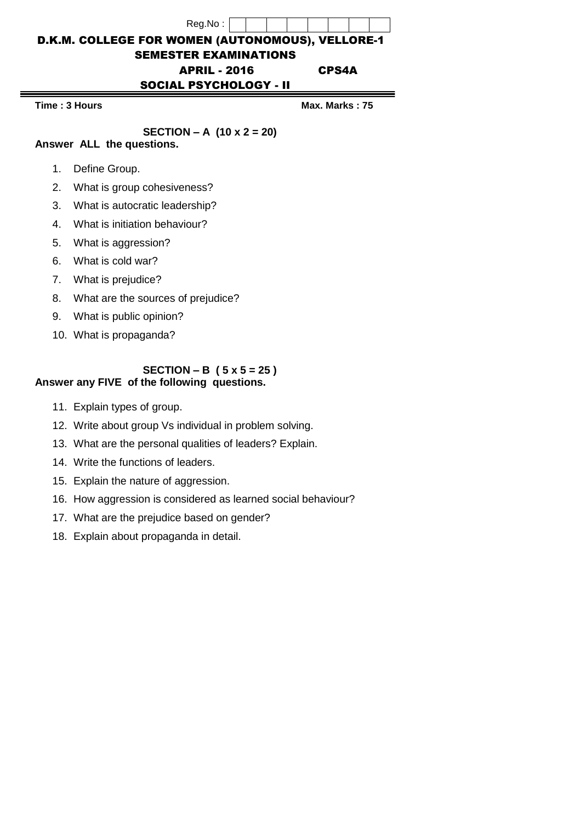| Reg.No:                                                 |                |
|---------------------------------------------------------|----------------|
| <b>D.K.M. COLLEGE FOR WOMEN (AUTONOMOUS), VELLORE-1</b> |                |
| <b>SEMESTER EXAMINATIONS</b>                            |                |
| <b>APRIL - 2016</b>                                     | <b>CPS4A</b>   |
| <b>SOCIAL PSYCHOLOGY - II</b>                           |                |
| Time: 3 Hours                                           | Max. Marks: 75 |

 $=$ 

## **SECTION – A (10 x 2 = 20)**

**Answer ALL the questions.** 

- 1. Define Group.
- 2. What is group cohesiveness?
- 3. What is autocratic leadership?
- 4. What is initiation behaviour?
- 5. What is aggression?
- 6. What is cold war?
- 7. What is prejudice?
- 8. What are the sources of prejudice?
- 9. What is public opinion?
- 10. What is propaganda?

## **SECTION – B ( 5 x 5 = 25 ) Answer any FIVE of the following questions.**

- 11. Explain types of group.
- 12. Write about group Vs individual in problem solving.
- 13. What are the personal qualities of leaders? Explain.
- 14. Write the functions of leaders.
- 15. Explain the nature of aggression.
- 16. How aggression is considered as learned social behaviour?
- 17. What are the prejudice based on gender?
- 18. Explain about propaganda in detail.